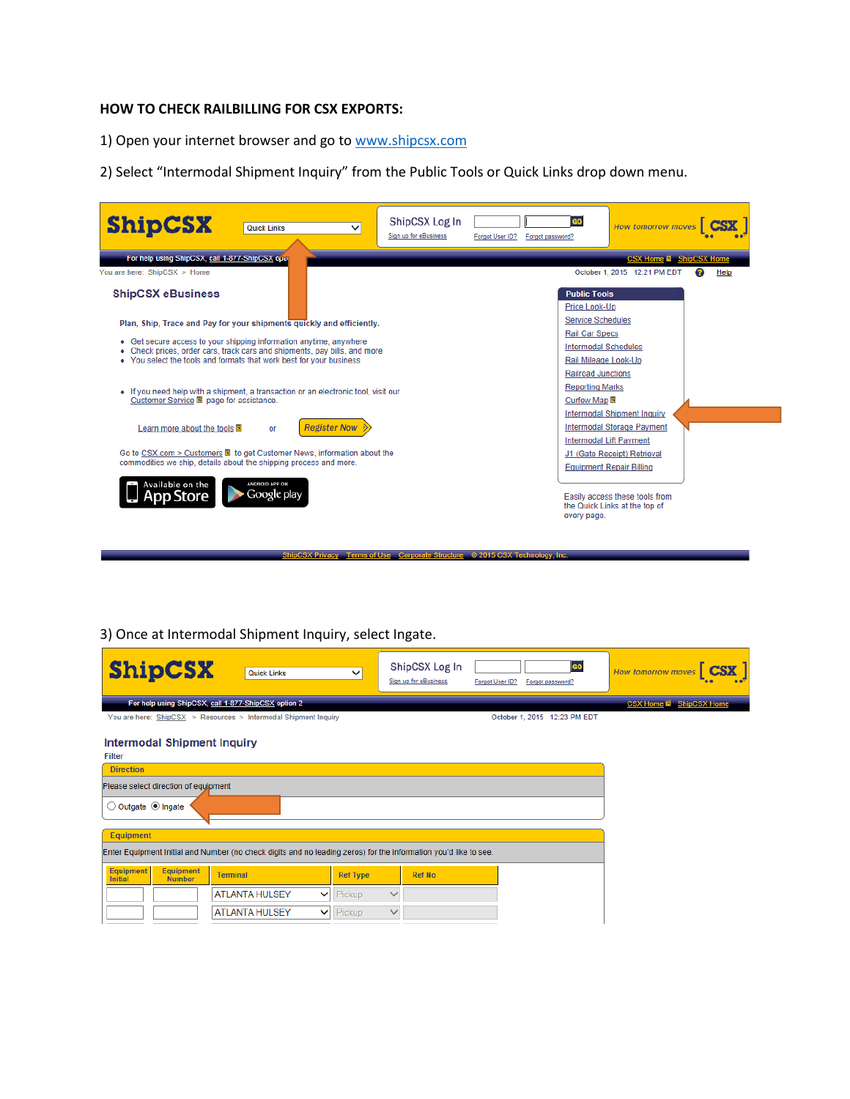## **HOW TO CHECK RAILBILLING FOR CSX EXPORTS:**

1) Open your internet browser and go to [www.shipcsx.com](http://www.shipcsx.com/)

2) Select "Intermodal Shipment Inquiry" from the Public Tools or Quick Links drop down menu.

| <b>ShipCSX</b>                                                                                                                                                                                                                                                                                        | <b>Quick Links</b>            | ◡ | ShipCSX Log In<br>Sign up for eBusiness | Forgot User ID? | Forgot password?                                                                                                          | <b>How tomorrow moves</b>                                                                                                      |      |  |
|-------------------------------------------------------------------------------------------------------------------------------------------------------------------------------------------------------------------------------------------------------------------------------------------------------|-------------------------------|---|-----------------------------------------|-----------------|---------------------------------------------------------------------------------------------------------------------------|--------------------------------------------------------------------------------------------------------------------------------|------|--|
| For help using ShipCSX, call 1-877-ShipCSX opur<br>You are here: ShipCSX > Home<br><b>ShipCSX eBusiness</b>                                                                                                                                                                                           |                               |   |                                         |                 | <b>Public Tools</b>                                                                                                       | <b>CSX Home a</b> ShipCSX Home<br>October 1, 2015 12:21 PM EDT<br>2                                                            | Help |  |
| Plan, Ship, Trace and Pay for your shipments guickly and efficiently.<br>Get secure access to your shipping information anytime, anywhere<br>٠<br>Check prices, order cars, track cars and shipments, pay bills, and more<br>٠<br>• You select the tools and formats that work best for your business |                               |   |                                         |                 | Price Look-Up<br><b>Service Schedules</b><br><b>Rail Car Specs</b><br><b>Intermodal Schedules</b><br>Rail Mileage Look-Up |                                                                                                                                |      |  |
| • If you need help with a shipment, a transaction or an electronic tool, visit our<br>Customer Service a page for assistance.                                                                                                                                                                         |                               |   |                                         |                 | <b>Railroad Junctions</b><br><b>Reporting Marks</b><br>Curfew Map a                                                       | <b>Intermodal Shipment Inquiry</b>                                                                                             |      |  |
| <b>Register Now</b><br>Learn more about the tools <b>E</b><br><b>OF</b><br>Go to CSX.com > Customers <b>a</b> to get Customer News, information about the<br>commodities we ship, details about the shipping process and more.                                                                        |                               |   |                                         |                 |                                                                                                                           | Intermodal Storage Payment<br><b>Intermodal Lift Payment</b><br>J1 (Gate Receipt) Retrieval<br><b>Equipment Repair Billing</b> |      |  |
| Available on the                                                                                                                                                                                                                                                                                      | ANDROID APP ON<br>Google play |   |                                         |                 | every page.                                                                                                               | Easily access these tools from<br>the Quick Links at the top of                                                                |      |  |

3) Once at Intermodal Shipment Inquiry, select Ingate.

| <b>ShipCSX</b>                                                                                                   | <b>Quick Links</b>                                              | $\checkmark$                  | ShipCSX Log In<br>Sign up for eBusiness | Forgot User ID? | <b>GO</b><br>Forgot password? | <b>How tomorrow moves</b>       |  |  |
|------------------------------------------------------------------------------------------------------------------|-----------------------------------------------------------------|-------------------------------|-----------------------------------------|-----------------|-------------------------------|---------------------------------|--|--|
|                                                                                                                  | For help using ShipCSX, call 1-877-ShipCSX option 2             |                               |                                         |                 |                               | <b>CSX Home El ShipCSX Home</b> |  |  |
|                                                                                                                  | You are here: ShipCSX > Resources > Intermodal Shipment Inquiry |                               |                                         |                 | October 1, 2015 12:23 PM EDT  |                                 |  |  |
| Intermodal Shipment Inquiry<br><b>Filter</b>                                                                     |                                                                 |                               |                                         |                 |                               |                                 |  |  |
| <b>Direction</b>                                                                                                 |                                                                 |                               |                                         |                 |                               |                                 |  |  |
| Please select direction of equipment                                                                             |                                                                 |                               |                                         |                 |                               |                                 |  |  |
| ○ Outgate ● Ingate                                                                                               |                                                                 |                               |                                         |                 |                               |                                 |  |  |
| <b>Equipment</b>                                                                                                 |                                                                 |                               |                                         |                 |                               |                                 |  |  |
| Enter Equipment Initial and Number (no check digits and no leading zeros) for the information you'd like to see. |                                                                 |                               |                                         |                 |                               |                                 |  |  |
| Equipment<br>Equipment<br><b>Number</b><br><b>Initial</b>                                                        | <b>Terminal</b>                                                 | <b>Ref Type</b>               | <b>Ref No</b>                           |                 |                               |                                 |  |  |
|                                                                                                                  | <b>ATLANTA HULSEY</b>                                           | Pickup<br>$\checkmark$        | $\checkmark$                            |                 |                               |                                 |  |  |
|                                                                                                                  | <b>ATLANTA HULSEY</b>                                           | <b>Pickup</b><br>$\checkmark$ | $\checkmark$                            |                 |                               |                                 |  |  |

ShipCSX Privacy Terms of Use Corporate Structure © 2015 CSX Technology, Inc.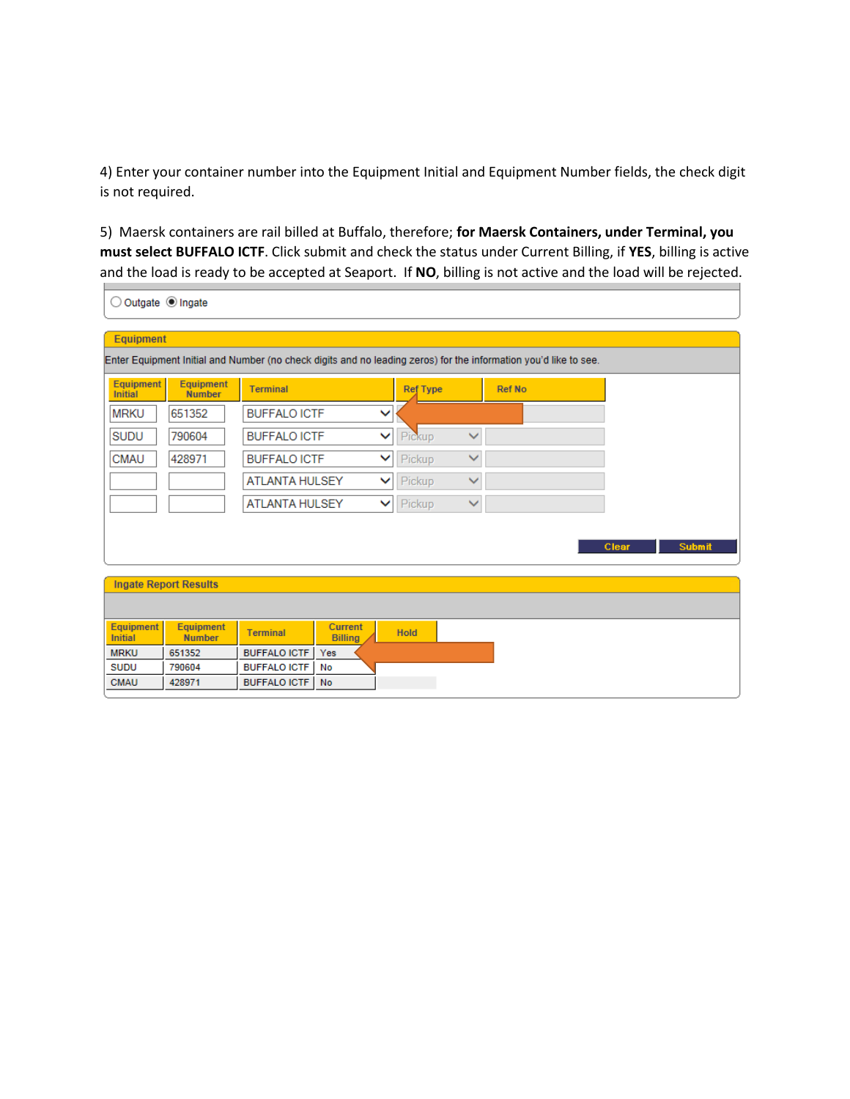4) Enter your container number into the Equipment Initial and Equipment Number fields, the check digit is not required.

5) Maersk containers are rail billed at Buffalo, therefore; **for Maersk Containers, under Terminal, you must select BUFFALO ICTF**. Click submit and check the status under Current Billing, if **YES**, billing is active and the load is ready to be accepted at Seaport. If **NO**, billing is not active and the load will be rejected.

| Outgate <sup>O</sup> Ingate                                                                                      |                                   |                            |                                  |                 |              |               |       |  |               |  |
|------------------------------------------------------------------------------------------------------------------|-----------------------------------|----------------------------|----------------------------------|-----------------|--------------|---------------|-------|--|---------------|--|
| <b>Equipment</b>                                                                                                 |                                   |                            |                                  |                 |              |               |       |  |               |  |
| Enter Equipment Initial and Number (no check digits and no leading zeros) for the information you'd like to see. |                                   |                            |                                  |                 |              |               |       |  |               |  |
| <b>Equipment</b><br><b>Initial</b>                                                                               | <b>Equipment</b><br><b>Number</b> | <b>Terminal</b>            |                                  | <b>Ref Type</b> |              | <b>Ref No</b> |       |  |               |  |
| <b>MRKU</b>                                                                                                      | 651352                            | <b>BUFFALO ICTF</b>        |                                  | ◡               |              |               |       |  |               |  |
| <b>SUDU</b>                                                                                                      | 790604                            | <b>BUFFALO ICTF</b>        |                                  | Pickup<br>v     | $\checkmark$ |               |       |  |               |  |
| <b>CMAU</b>                                                                                                      | 428971                            | <b>BUFFALO ICTF</b><br>▽   |                                  | Pickup          | $\checkmark$ |               |       |  |               |  |
|                                                                                                                  |                                   | <b>ATLANTA HULSEY</b><br>◡ |                                  | Pickup          | $\checkmark$ |               |       |  |               |  |
|                                                                                                                  |                                   | <b>ATLANTA HULSEY</b><br>▽ |                                  | Pickup          | $\checkmark$ |               |       |  |               |  |
|                                                                                                                  |                                   |                            |                                  |                 |              |               |       |  |               |  |
|                                                                                                                  |                                   |                            |                                  |                 |              |               | Clear |  | <b>Submit</b> |  |
|                                                                                                                  |                                   |                            |                                  |                 |              |               |       |  |               |  |
|                                                                                                                  | <b>Ingate Report Results</b>      |                            |                                  |                 |              |               |       |  |               |  |
|                                                                                                                  |                                   |                            |                                  |                 |              |               |       |  |               |  |
| <b>Equipment</b><br><b>Initial</b>                                                                               | <b>Equipment</b><br><b>Number</b> | <b>Terminal</b>            | <b>Current</b><br><b>Billing</b> | <b>Hold</b>     |              |               |       |  |               |  |
| <b>MRKU</b>                                                                                                      | 651352                            | <b>BUFFALO ICTF</b>        | Yes                              |                 |              |               |       |  |               |  |
| <b>SUDU</b>                                                                                                      | 790604                            | <b>BUFFALO ICTF</b>        | No                               |                 |              |               |       |  |               |  |
| <b>CMAU</b>                                                                                                      | 428971                            | <b>BUFFALO ICTF</b>        | No                               |                 |              |               |       |  |               |  |